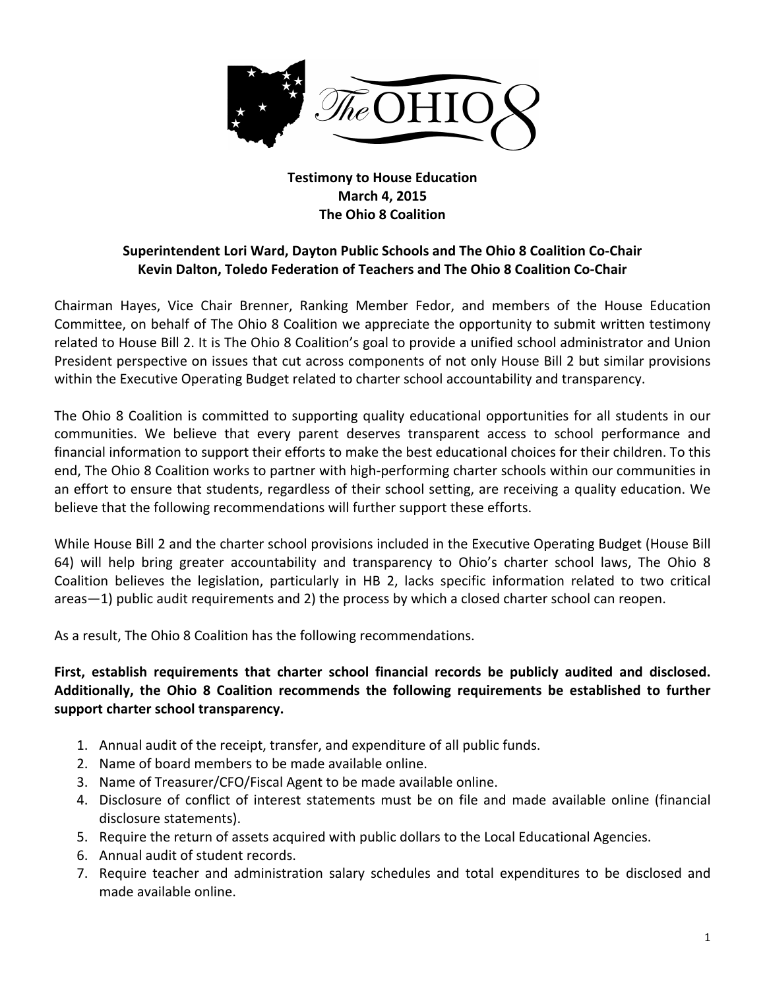

## **Testimony to House Education March 4, 2015 The Ohio 8 Coalition**

## **Superintendent Lori Ward, Dayton Public Schools and The Ohio 8 Coalition Co-Chair Kevin Dalton, Toledo Federation of Teachers and The Ohio 8 Coalition Co-Chair**

Chairman Hayes, Vice Chair Brenner, Ranking Member Fedor, and members of the House Education Committee, on behalf of The Ohio 8 Coalition we appreciate the opportunity to submit written testimony related to House Bill 2. It is The Ohio 8 Coalition's goal to provide a unified school administrator and Union President perspective on issues that cut across components of not only House Bill 2 but similar provisions within the Executive Operating Budget related to charter school accountability and transparency.

The Ohio 8 Coalition is committed to supporting quality educational opportunities for all students in our communities. We believe that every parent deserves transparent access to school performance and financial information to support their efforts to make the best educational choices for their children. To this end, The Ohio 8 Coalition works to partner with high-performing charter schools within our communities in an effort to ensure that students, regardless of their school setting, are receiving a quality education. We believe that the following recommendations will further support these efforts.

While House Bill 2 and the charter school provisions included in the Executive Operating Budget (House Bill 64) will help bring greater accountability and transparency to Ohio's charter school laws, The Ohio 8 Coalition believes the legislation, particularly in HB 2, lacks specific information related to two critical  $area$  areas – 1) public audit requirements and 2) the process by which a closed charter school can reopen.

As a result, The Ohio 8 Coalition has the following recommendations.

## First, establish requirements that charter school financial records be publicly audited and disclosed. Additionally, the Ohio 8 Coalition recommends the following requirements be established to further support charter school transparency.

- 1. Annual audit of the receipt, transfer, and expenditure of all public funds.
- 2. Name of board members to be made available online.
- 3. Name of Treasurer/CFO/Fiscal Agent to be made available online.
- 4. Disclosure of conflict of interest statements must be on file and made available online (financial disclosure statements).
- 5. Require the return of assets acquired with public dollars to the Local Educational Agencies.
- 6. Annual audit of student records.
- 7. Require teacher and administration salary schedules and total expenditures to be disclosed and made available online.